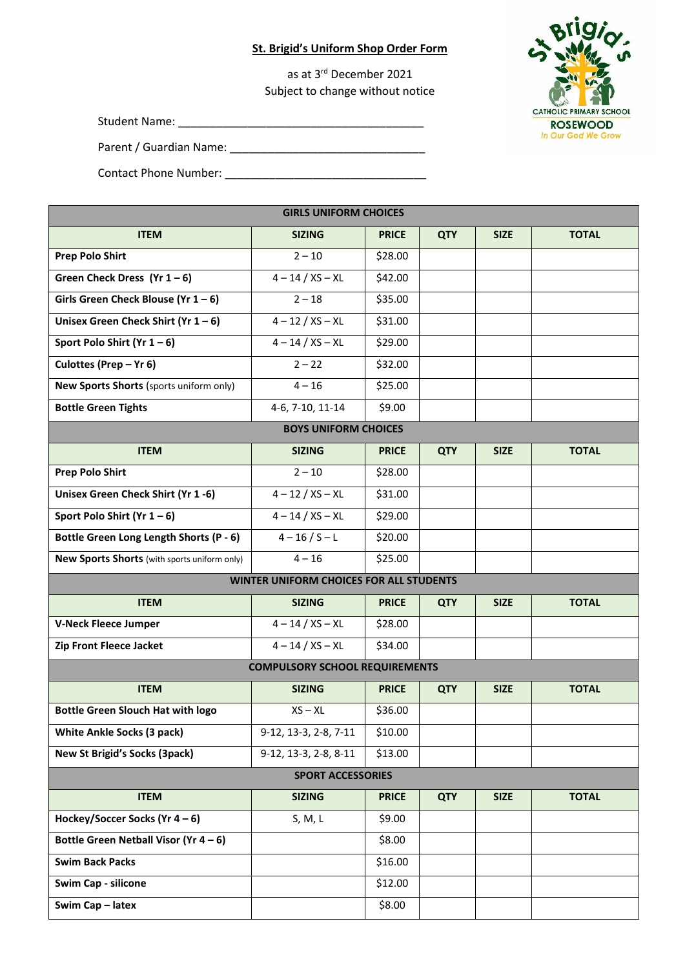## **St. Brigid's Uniform Shop Order Form**

as at 3 rd December 2021 Subject to change without notice

Student Name:

Parent / Guardian Name: \_\_\_\_\_\_\_\_\_\_\_\_\_\_\_\_\_\_\_\_\_\_\_\_\_\_\_\_\_\_\_

Contact Phone Number: \_\_\_\_\_\_\_\_\_\_\_\_\_\_\_\_\_\_\_\_\_\_\_\_\_\_\_\_\_\_\_\_

| <b>GIRLS UNIFORM CHOICES</b>                   |                       |              |            |             |              |  |  |  |
|------------------------------------------------|-----------------------|--------------|------------|-------------|--------------|--|--|--|
| <b>ITEM</b>                                    | <b>SIZING</b>         | <b>PRICE</b> | <b>QTY</b> | <b>SIZE</b> | <b>TOTAL</b> |  |  |  |
| <b>Prep Polo Shirt</b>                         | $2 - 10$              | \$28.00      |            |             |              |  |  |  |
| Green Check Dress (Yr $1 - 6$ )                | $4 - 14 / XS - XL$    | \$42.00      |            |             |              |  |  |  |
| Girls Green Check Blouse (Yr $1-6$ )           | $2 - 18$              | \$35.00      |            |             |              |  |  |  |
| Unisex Green Check Shirt (Yr $1-6$ )           | $4 - 12 / XS - XL$    | \$31.00      |            |             |              |  |  |  |
| Sport Polo Shirt (Yr $1-6$ )                   | $4 - 14 / XS - XL$    | \$29.00      |            |             |              |  |  |  |
| Culottes (Prep - Yr 6)                         | $2 - 22$              | \$32.00      |            |             |              |  |  |  |
| New Sports Shorts (sports uniform only)        | $4 - 16$              | \$25.00      |            |             |              |  |  |  |
| <b>Bottle Green Tights</b>                     | 4-6, 7-10, 11-14      | \$9.00       |            |             |              |  |  |  |
| <b>BOYS UNIFORM CHOICES</b>                    |                       |              |            |             |              |  |  |  |
| <b>ITEM</b>                                    | <b>SIZING</b>         | <b>PRICE</b> | <b>QTY</b> | <b>SIZE</b> | <b>TOTAL</b> |  |  |  |
| <b>Prep Polo Shirt</b>                         | $2 - 10$              | \$28.00      |            |             |              |  |  |  |
| Unisex Green Check Shirt (Yr 1-6)              | $4 - 12 / XS - XL$    | \$31.00      |            |             |              |  |  |  |
| Sport Polo Shirt (Yr $1-6$ )                   | $4 - 14 / XS - XL$    | \$29.00      |            |             |              |  |  |  |
| Bottle Green Long Length Shorts (P - 6)        | $4 - 16 / S - L$      | \$20.00      |            |             |              |  |  |  |
| New Sports Shorts (with sports uniform only)   | $4 - 16$              | \$25.00      |            |             |              |  |  |  |
| <b>WINTER UNIFORM CHOICES FOR ALL STUDENTS</b> |                       |              |            |             |              |  |  |  |
| <b>ITEM</b>                                    | <b>SIZING</b>         | <b>PRICE</b> | <b>QTY</b> | <b>SIZE</b> | <b>TOTAL</b> |  |  |  |
| <b>V-Neck Fleece Jumper</b>                    | $4 - 14 / XS - XL$    | \$28.00      |            |             |              |  |  |  |
| Zip Front Fleece Jacket                        | $4 - 14 / XS - XL$    | \$34.00      |            |             |              |  |  |  |
| <b>COMPULSORY SCHOOL REQUIREMENTS</b>          |                       |              |            |             |              |  |  |  |
| <b>ITEM</b>                                    | <b>SIZING</b>         | <b>PRICE</b> | <b>QTY</b> | <b>SIZE</b> | <b>TOTAL</b> |  |  |  |
| <b>Bottle Green Slouch Hat with logo</b>       | $XS - XL$             | \$36.00      |            |             |              |  |  |  |
| <b>White Ankle Socks (3 pack)</b>              | 9-12, 13-3, 2-8, 7-11 | \$10.00      |            |             |              |  |  |  |
| New St Brigid's Socks (3pack)                  | 9-12, 13-3, 2-8, 8-11 | \$13.00      |            |             |              |  |  |  |
| <b>SPORT ACCESSORIES</b>                       |                       |              |            |             |              |  |  |  |
| <b>ITEM</b>                                    | <b>SIZING</b>         | <b>PRICE</b> | <b>QTY</b> | <b>SIZE</b> | <b>TOTAL</b> |  |  |  |
| Hockey/Soccer Socks (Yr $4-6$ )                | S, M, L               | \$9.00       |            |             |              |  |  |  |
| Bottle Green Netball Visor (Yr $4-6$ )         |                       | \$8.00       |            |             |              |  |  |  |
| <b>Swim Back Packs</b>                         |                       | \$16.00      |            |             |              |  |  |  |
| Swim Cap - silicone                            |                       | \$12.00      |            |             |              |  |  |  |
| Swim Cap - latex                               |                       | \$8.00       |            |             |              |  |  |  |